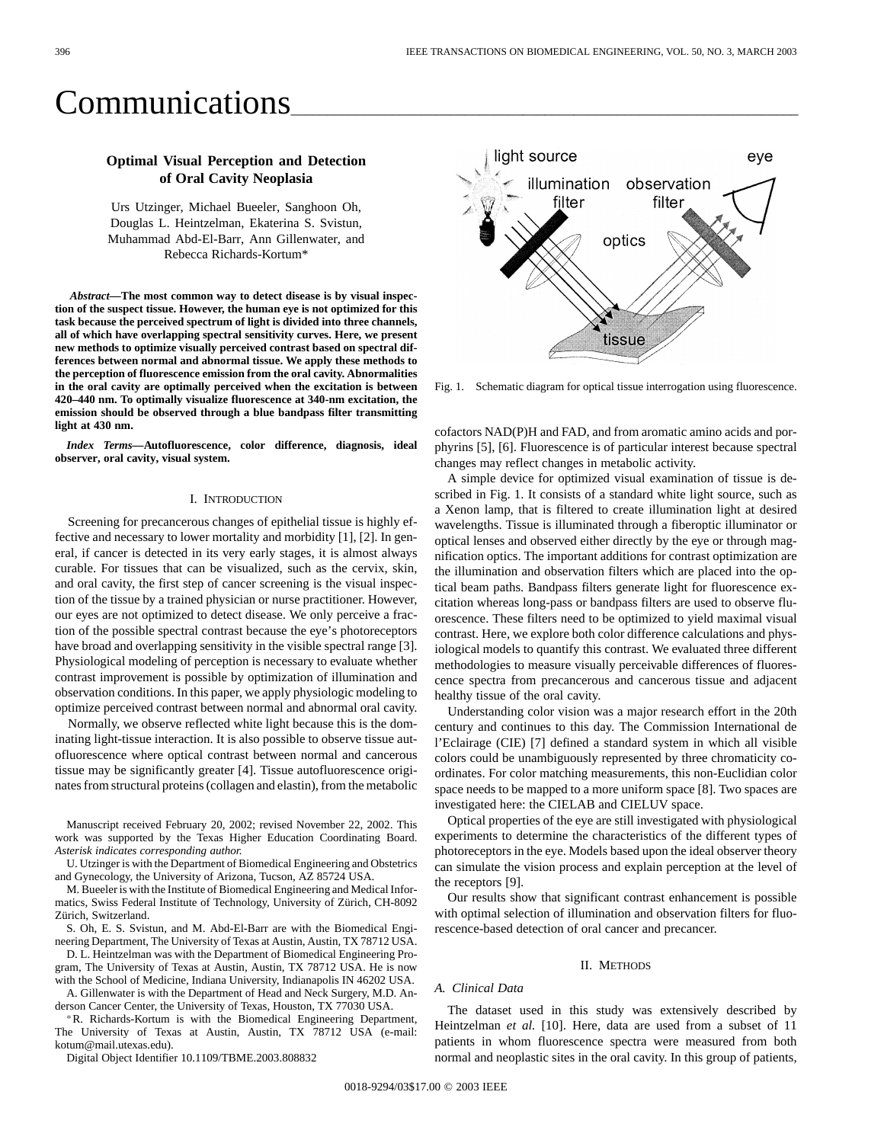# Communications

## **Optimal Visual Perception and Detection of Oral Cavity Neoplasia**

Urs Utzinger, Michael Bueeler, Sanghoon Oh, Douglas L. Heintzelman, Ekaterina S. Svistun, Muhammad Abd-El-Barr, Ann Gillenwater, and Rebecca Richards-Kortum\*

*Abstract—***The most common way to detect disease is by visual inspection of the suspect tissue. However, the human eye is not optimized for this task because the perceived spectrum of light is divided into three channels, all of which have overlapping spectral sensitivity curves. Here, we present new methods to optimize visually perceived contrast based on spectral differences between normal and abnormal tissue. We apply these methods to the perception of fluorescence emission from the oral cavity. Abnormalities in the oral cavity are optimally perceived when the excitation is between 420–440 nm. To optimally visualize fluorescence at 340-nm excitation, the emission should be observed through a blue bandpass filter transmitting light at 430 nm.**

*Index Terms—***Autofluorescence, color difference, diagnosis, ideal observer, oral cavity, visual system.**

### I. INTRODUCTION

Screening for precancerous changes of epithelial tissue is highly effective and necessary to lower mortality and morbidity [1], [2]. In general, if cancer is detected in its very early stages, it is almost always curable. For tissues that can be visualized, such as the cervix, skin, and oral cavity, the first step of cancer screening is the visual inspection of the tissue by a trained physician or nurse practitioner. However, our eyes are not optimized to detect disease. We only perceive a fraction of the possible spectral contrast because the eye's photoreceptors have broad and overlapping sensitivity in the visible spectral range [3]. Physiological modeling of perception is necessary to evaluate whether contrast improvement is possible by optimization of illumination and observation conditions. In this paper, we apply physiologic modeling to optimize perceived contrast between normal and abnormal oral cavity.

Normally, we observe reflected white light because this is the dominating light-tissue interaction. It is also possible to observe tissue autofluorescence where optical contrast between normal and cancerous tissue may be significantly greater [4]. Tissue autofluorescence originates from structural proteins (collagen and elastin), from the metabolic

Manuscript received February 20, 2002; revised November 22, 2002. This work was supported by the Texas Higher Education Coordinating Board. *Asterisk indicates corresponding author.*

U. Utzinger is with the Department of Biomedical Engineering and Obstetrics and Gynecology, the University of Arizona, Tucson, AZ 85724 USA.

M. Bueeler is with the Institute of Biomedical Engineering and Medical Informatics, Swiss Federal Institute of Technology, University of Zürich, CH-8092 Zürich, Switzerland.

S. Oh, E. S. Svistun, and M. Abd-El-Barr are with the Biomedical Engineering Department, The University of Texas at Austin, Austin, TX 78712 USA.

D. L. Heintzelman was with the Department of Biomedical Engineering Program, The University of Texas at Austin, Austin, TX 78712 USA. He is now with the School of Medicine, Indiana University, Indianapolis IN 46202 USA.

A. Gillenwater is with the Department of Head and Neck Surgery, M.D. Anderson Cancer Center, the University of Texas, Houston, TX 77030 USA.

R. Richards-Kortum is with the Biomedical Engineering Department, The University of Texas at Austin, Austin, TX 78712 USA (e-mail: kotum@mail.utexas.edu).

Digital Object Identifier 10.1109/TBME.2003.808832



Fig. 1. Schematic diagram for optical tissue interrogation using fluorescence.

cofactors NAD(P)H and FAD, and from aromatic amino acids and porphyrins [5], [6]. Fluorescence is of particular interest because spectral changes may reflect changes in metabolic activity.

A simple device for optimized visual examination of tissue is described in Fig. 1. It consists of a standard white light source, such as a Xenon lamp, that is filtered to create illumination light at desired wavelengths. Tissue is illuminated through a fiberoptic illuminator or optical lenses and observed either directly by the eye or through magnification optics. The important additions for contrast optimization are the illumination and observation filters which are placed into the optical beam paths. Bandpass filters generate light for fluorescence excitation whereas long-pass or bandpass filters are used to observe fluorescence. These filters need to be optimized to yield maximal visual contrast. Here, we explore both color difference calculations and physiological models to quantify this contrast. We evaluated three different methodologies to measure visually perceivable differences of fluorescence spectra from precancerous and cancerous tissue and adjacent healthy tissue of the oral cavity.

Understanding color vision was a major research effort in the 20th century and continues to this day. The Commission International de l'Eclairage (CIE) [7] defined a standard system in which all visible colors could be unambiguously represented by three chromaticity coordinates. For color matching measurements, this non-Euclidian color space needs to be mapped to a more uniform space [8]. Two spaces are investigated here: the CIELAB and CIELUV space.

Optical properties of the eye are still investigated with physiological experiments to determine the characteristics of the different types of photoreceptors in the eye. Models based upon the ideal observer theory can simulate the vision process and explain perception at the level of the receptors [9].

Our results show that significant contrast enhancement is possible with optimal selection of illumination and observation filters for fluorescence-based detection of oral cancer and precancer.

#### II. METHODS

## *A. Clinical Data*

The dataset used in this study was extensively described by Heintzelman *et al.* [10]. Here, data are used from a subset of 11 patients in whom fluorescence spectra were measured from both normal and neoplastic sites in the oral cavity. In this group of patients,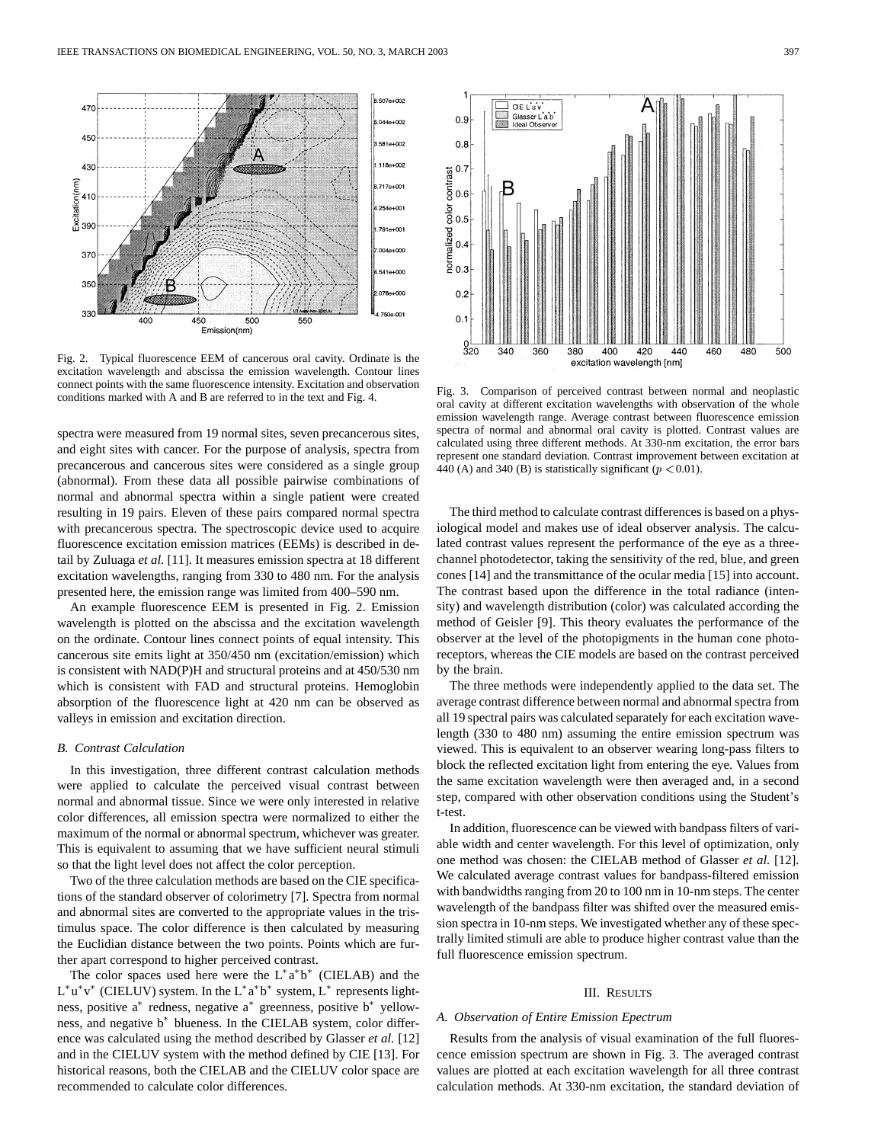

Fig. 2. Typical fluorescence EEM of cancerous oral cavity. Ordinate is the excitation wavelength and abscissa the emission wavelength. Contour lines connect points with the same fluorescence intensity. Excitation and observation conditions marked with A and B are referred to in the text and Fig. 4.

spectra were measured from 19 normal sites, seven precancerous sites, and eight sites with cancer. For the purpose of analysis, spectra from precancerous and cancerous sites were considered as a single group (abnormal). From these data all possible pairwise combinations of normal and abnormal spectra within a single patient were created resulting in 19 pairs. Eleven of these pairs compared normal spectra with precancerous spectra. The spectroscopic device used to acquire fluorescence excitation emission matrices (EEMs) is described in detail by Zuluaga *et al.* [11]. It measures emission spectra at 18 different excitation wavelengths, ranging from 330 to 480 nm. For the analysis presented here, the emission range was limited from 400–590 nm.

An example fluorescence EEM is presented in Fig. 2. Emission wavelength is plotted on the abscissa and the excitation wavelength on the ordinate. Contour lines connect points of equal intensity. This cancerous site emits light at 350/450 nm (excitation/emission) which is consistent with NAD(P)H and structural proteins and at 450/530 nm which is consistent with FAD and structural proteins. Hemoglobin absorption of the fluorescence light at 420 nm can be observed as valleys in emission and excitation direction.

## *B. Contrast Calculation*

In this investigation, three different contrast calculation methods were applied to calculate the perceived visual contrast between normal and abnormal tissue. Since we were only interested in relative color differences, all emission spectra were normalized to either the maximum of the normal or abnormal spectrum, whichever was greater. This is equivalent to assuming that we have sufficient neural stimuli so that the light level does not affect the color perception.

Two of the three calculation methods are based on the CIE specifications of the standard observer of colorimetry [7]. Spectra from normal and abnormal sites are converted to the appropriate values in the tristimulus space. The color difference is then calculated by measuring the Euclidian distance between the two points. Points which are further apart correspond to higher perceived contrast.

The color spaces used here were the  $L^*a^*b^*$  (CIELAB) and the  $L^*u^*v^*$  (CIELUV) system. In the  $L^*a^*b^*$  system,  $L^*$  represents lightness, positive  $a^*$  redness, negative  $a^*$  greenness, positive  $b^*$  yellowness, and negative  $b^*$  blueness. In the CIELAB system, color difference was calculated using the method described by Glasser *et al.* [12] and in the CIELUV system with the method defined by CIE [13]. For historical reasons, both the CIELAB and the CIELUV color space are recommended to calculate color differences.



Fig. 3. Comparison of perceived contrast between normal and neoplastic oral cavity at different excitation wavelengths with observation of the whole emission wavelength range. Average contrast between fluorescence emission spectra of normal and abnormal oral cavity is plotted. Contrast values are calculated using three different methods. At 330-nm excitation, the error bars represent one standard deviation. Contrast improvement between excitation at 440 (A) and 340 (B) is statistically significant ( $p < 0.01$ ).

The third method to calculate contrast differences is based on a physiological model and makes use of ideal observer analysis. The calculated contrast values represent the performance of the eye as a threechannel photodetector, taking the sensitivity of the red, blue, and green cones [14] and the transmittance of the ocular media [15] into account. The contrast based upon the difference in the total radiance (intensity) and wavelength distribution (color) was calculated according the method of Geisler [9]. This theory evaluates the performance of the observer at the level of the photopigments in the human cone photoreceptors, whereas the CIE models are based on the contrast perceived by the brain.

The three methods were independently applied to the data set. The average contrast difference between normal and abnormal spectra from all 19 spectral pairs was calculated separately for each excitation wavelength (330 to 480 nm) assuming the entire emission spectrum was viewed. This is equivalent to an observer wearing long-pass filters to block the reflected excitation light from entering the eye. Values from the same excitation wavelength were then averaged and, in a second step, compared with other observation conditions using the Student's t-test.

In addition, fluorescence can be viewed with bandpass filters of variable width and center wavelength. For this level of optimization, only one method was chosen: the CIELAB method of Glasser *et al.* [12]. We calculated average contrast values for bandpass-filtered emission with bandwidths ranging from 20 to 100 nm in 10-nm steps. The center wavelength of the bandpass filter was shifted over the measured emission spectra in 10-nm steps. We investigated whether any of these spectrally limited stimuli are able to produce higher contrast value than the full fluorescence emission spectrum.

#### III. RESULTS

#### *A. Observation of Entire Emission Epectrum*

Results from the analysis of visual examination of the full fluorescence emission spectrum are shown in Fig. 3. The averaged contrast values are plotted at each excitation wavelength for all three contrast calculation methods. At 330-nm excitation, the standard deviation of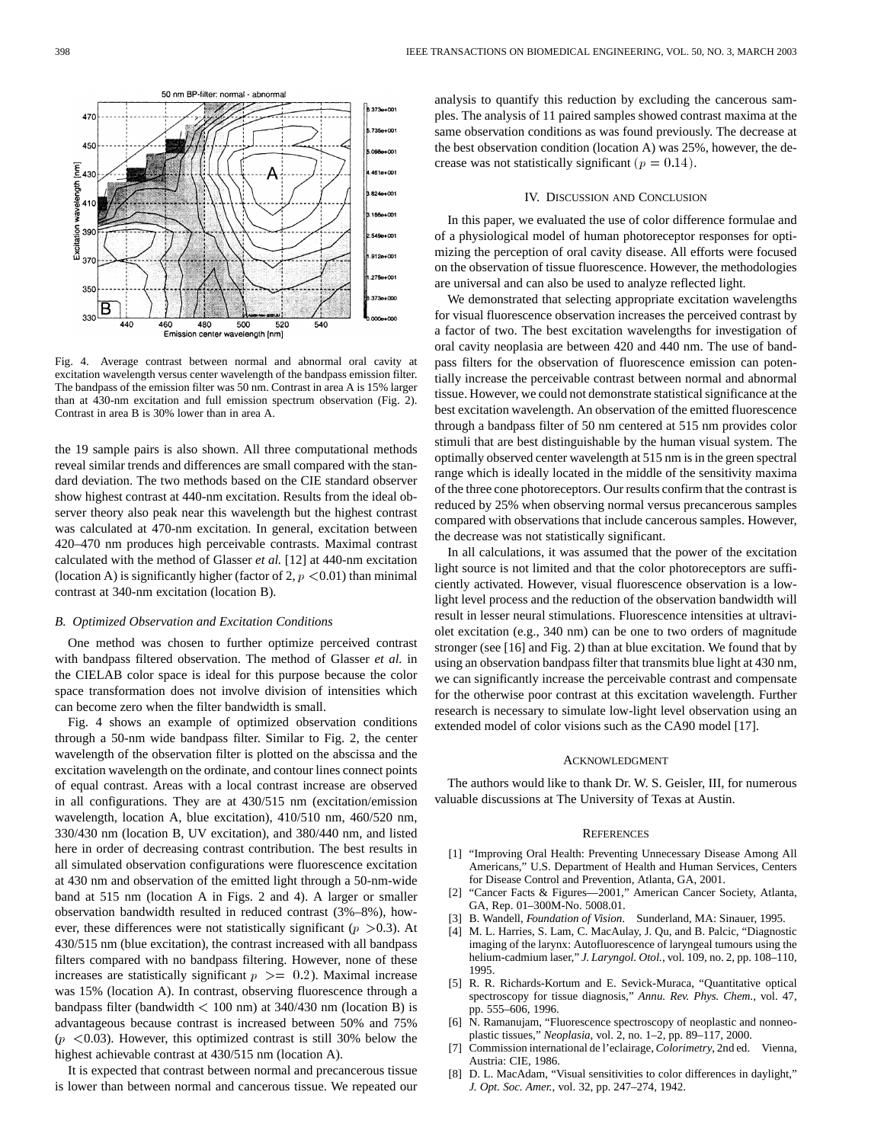ples. The analysis of 11 paired samples showed contrast maxima at the 5.735e+001 same observation conditions as was found previously. The decrease at the best observation condition (location A) was 25%, however, the decrease was not statistically significant ( $p = 0.14$ ). 461e+001

#### IV. DISCUSSION AND CONCLUSION

analysis to quantify this reduction by excluding the cancerous sam-

In this paper, we evaluated the use of color difference formulae and of a physiological model of human photoreceptor responses for optimizing the perception of oral cavity disease. All efforts were focused on the observation of tissue fluorescence. However, the methodologies are universal and can also be used to analyze reflected light.

We demonstrated that selecting appropriate excitation wavelengths for visual fluorescence observation increases the perceived contrast by a factor of two. The best excitation wavelengths for investigation of oral cavity neoplasia are between 420 and 440 nm. The use of bandpass filters for the observation of fluorescence emission can potentially increase the perceivable contrast between normal and abnormal tissue. However, we could not demonstrate statistical significance at the best excitation wavelength. An observation of the emitted fluorescence through a bandpass filter of 50 nm centered at 515 nm provides color stimuli that are best distinguishable by the human visual system. The optimally observed center wavelength at 515 nm is in the green spectral range which is ideally located in the middle of the sensitivity maxima of the three cone photoreceptors. Our results confirm that the contrast is reduced by 25% when observing normal versus precancerous samples compared with observations that include cancerous samples. However, the decrease was not statistically significant.

In all calculations, it was assumed that the power of the excitation light source is not limited and that the color photoreceptors are sufficiently activated. However, visual fluorescence observation is a lowlight level process and the reduction of the observation bandwidth will result in lesser neural stimulations. Fluorescence intensities at ultraviolet excitation (e.g., 340 nm) can be one to two orders of magnitude stronger (see [16] and Fig. 2) than at blue excitation. We found that by using an observation bandpass filter that transmits blue light at 430 nm, we can significantly increase the perceivable contrast and compensate for the otherwise poor contrast at this excitation wavelength. Further research is necessary to simulate low-light level observation using an extended model of color visions such as the CA90 model [17].

#### ACKNOWLEDGMENT

The authors would like to thank Dr. W. S. Geisler, III, for numerous valuable discussions at The University of Texas at Austin.

#### **REFERENCES**

- [1] "Improving Oral Health: Preventing Unnecessary Disease Among All Americans," U.S. Department of Health and Human Services, Centers for Disease Control and Prevention, Atlanta, GA, 2001.
- [2] "Cancer Facts & Figures—2001," American Cancer Society, Atlanta, GA, Rep. 01–300M-No. 5008.01.
- [3] B. Wandell, *Foundation of Vision*. Sunderland, MA: Sinauer, 1995.
- [4] M. L. Harries, S. Lam, C. MacAulay, J. Qu, and B. Palcic, "Diagnostic imaging of the larynx: Autofluorescence of laryngeal tumours using the helium-cadmium laser," *J. Laryngol. Otol.*, vol. 109, no. 2, pp. 108–110, 1995.
- [5] R. R. Richards-Kortum and E. Sevick-Muraca, "Quantitative optical spectroscopy for tissue diagnosis," *Annu. Rev. Phys. Chem.*, vol. 47, pp. 555–606, 1996.
- [6] N. Ramanujam, "Fluorescence spectroscopy of neoplastic and nonneoplastic tissues," *Neoplasia*, vol. 2, no. 1–2, pp. 89–117, 2000.
- [7] Commission international de l'eclairage, *Colorimetry*, 2nd ed. Vienna, Austria: CIE, 1986.
- [8] D. L. MacAdam, "Visual sensitivities to color differences in daylight," *J. Opt. Soc. Amer.*, vol. 32, pp. 247–274, 1942.

Fig. 4. Average contrast between normal and abnormal oral cavity at excitation wavelength versus center wavelength of the bandpass emission filter. The bandpass of the emission filter was 50 nm. Contrast in area A is 15% larger than at 430-nm excitation and full emission spectrum observation (Fig. 2). Contrast in area B is 30% lower than in area A.

500

wavelength [nm]

520

540

824e+00 B6e+001

 $9120 + 00$ 275e+001

373e+000

makmo

the 19 sample pairs is also shown. All three computational methods reveal similar trends and differences are small compared with the standard deviation. The two methods based on the CIE standard observer show highest contrast at 440-nm excitation. Results from the ideal observer theory also peak near this wavelength but the highest contrast was calculated at 470-nm excitation. In general, excitation between 420–470 nm produces high perceivable contrasts. Maximal contrast calculated with the method of Glasser *et al.* [12] at 440-nm excitation (location A) is significantly higher (factor of 2,  $p < 0.01$ ) than minimal contrast at 340-nm excitation (location B).

#### *B. Optimized Observation and Excitation Conditions*

One method was chosen to further optimize perceived contrast with bandpass filtered observation. The method of Glasser *et al.* in the CIELAB color space is ideal for this purpose because the color space transformation does not involve division of intensities which can become zero when the filter bandwidth is small.

Fig. 4 shows an example of optimized observation conditions through a 50-nm wide bandpass filter. Similar to Fig. 2, the center wavelength of the observation filter is plotted on the abscissa and the excitation wavelength on the ordinate, and contour lines connect points of equal contrast. Areas with a local contrast increase are observed in all configurations. They are at 430/515 nm (excitation/emission wavelength, location A, blue excitation), 410/510 nm, 460/520 nm, 330/430 nm (location B, UV excitation), and 380/440 nm, and listed here in order of decreasing contrast contribution. The best results in all simulated observation configurations were fluorescence excitation at 430 nm and observation of the emitted light through a 50-nm-wide band at 515 nm (location A in Figs. 2 and 4). A larger or smaller observation bandwidth resulted in reduced contrast (3%–8%), however, these differences were not statistically significant ( $p > 0.3$ ). At 430/515 nm (blue excitation), the contrast increased with all bandpass filters compared with no bandpass filtering. However, none of these increases are statistically significant  $p \ge 0.2$ ). Maximal increase was 15% (location A). In contrast, observing fluorescence through a bandpass filter (bandwidth < 100 nm) at 340/430 nm (location B) is advantageous because contrast is increased between 50% and 75%  $(p \le 0.03)$ . However, this optimized contrast is still 30% below the highest achievable contrast at 430/515 nm (location A).

It is expected that contrast between normal and precancerous tissue is lower than between normal and cancerous tissue. We repeated our



460

480

Emission center

م<br>أ

350

В 330

440